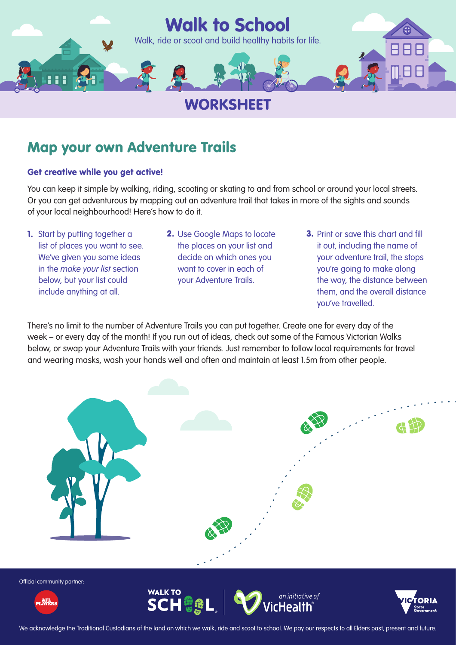

# Map your own Adventure Trails

## Get creative while you get active!

You can keep it simple by walking, riding, scooting or skating to and from school or around your local streets. Or you can get adventurous by mapping out an adventure trail that takes in more of the sights and sounds of your local neighbourhood! Here's how to do it.

- 1. Start by putting together a list of places you want to see. We've given you some ideas in the *make your list* section below, but your list could include anything at all.
- 2. Use Google Maps to locate the places on your list and decide on which ones you want to cover in each of your Adventure Trails.
- 3. Print or save this chart and fill it out, including the name of your adventure trail, the stops you're going to make along the way, the distance between them, and the overall distance you've travelled.

There's no limit to the number of Adventure Trails you can put together. Create one for every day of the week – or every day of the month! If you run out of ideas, check out some of the Famous Victorian Walks below, or swap your Adventure Trails with your friends. Just remember to follow local requirements for travel and wearing masks, wash your hands well and often and maintain at least 1.5m from other people.



Official community partner:







We acknowledge the Traditional Custodians of the land on which we walk, ride and scoot to school. We pay our respects to all Elders past, present and future.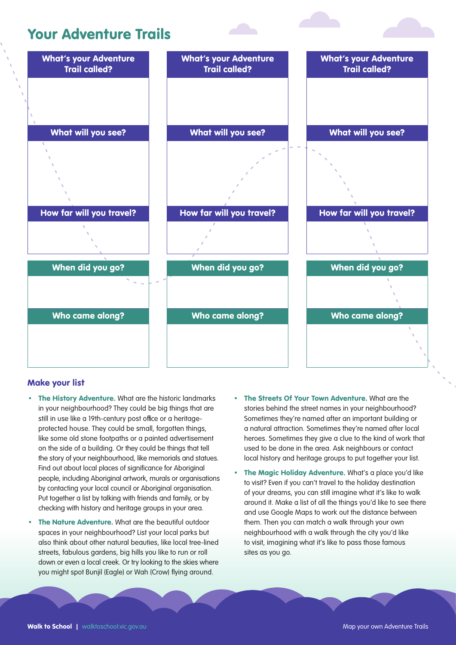## Your Adventure Trails



## Make your list

- The History Adventure. What are the historic landmarks in your neighbourhood? They could be big things that are still in use like a 19th-century post office or a heritageprotected house. They could be small, forgotten things, like some old stone footpaths or a painted advertisement on the side of a building. Or they could be things that tell the story of your neighbourhood, like memorials and statues. Find out about local places of significance for Aboriginal people, including Aboriginal artwork, murals or organisations by contacting your local council or Aboriginal organisation. Put together a list by talking with friends and family, or by checking with history and heritage groups in your area.
- The Nature Adventure. What are the beautiful outdoor spaces in your neighbourhood? List your local parks but also think about other natural beauties, like local tree-lined streets, fabulous gardens, big hills you like to run or roll down or even a local creek. Or try looking to the skies where you might spot Bunjil (Eagle) or Wah (Crow) flying around.
- The Streets Of Your Town Adventure. What are the stories behind the street names in your neighbourhood? Sometimes they're named after an important building or a natural attraction. Sometimes they're named after local heroes. Sometimes they give a clue to the kind of work that used to be done in the area. Ask neighbours or contact local history and heritage groups to put together your list.
- The Magic Holiday Adventure. What's a place you'd like to visit? Even if you can't travel to the holiday destination of your dreams, you can still imagine what it's like to walk around it. Make a list of all the things you'd like to see there and use Google Maps to work out the distance between them. Then you can match a walk through your own neighbourhood with a walk through the city you'd like to visit, imagining what it's like to pass those famous sites as you go.